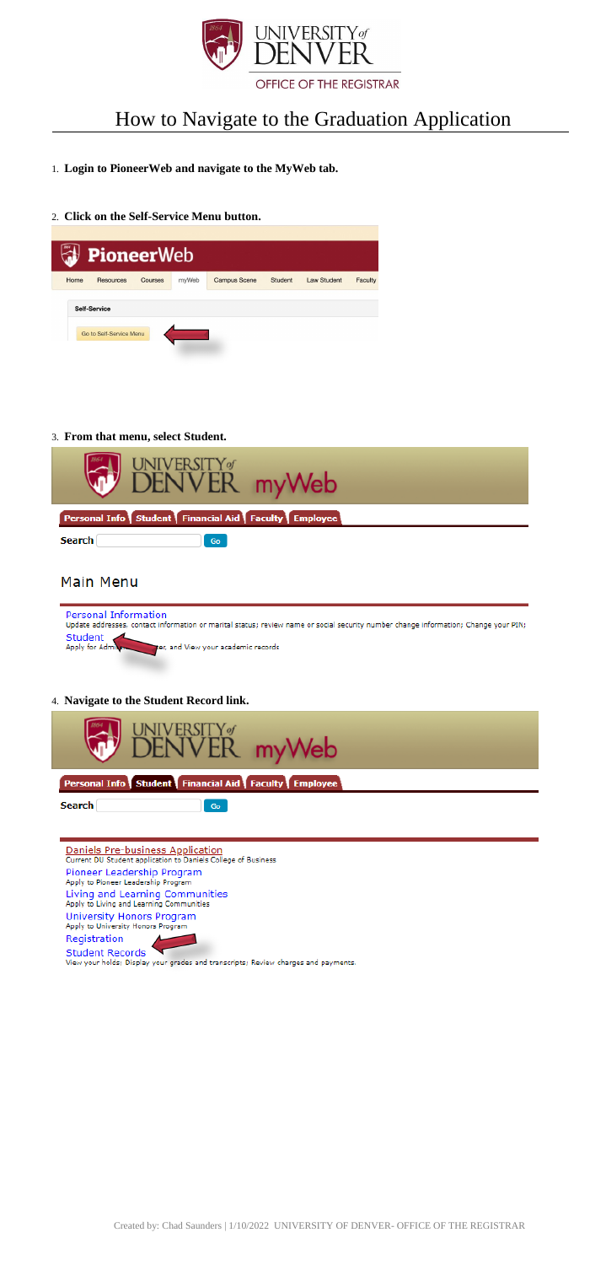Created by: Chad Saunders | 1/10/2022 UNIVERSITY OF DENVER- OFFICE OF THE REGISTRAR



# How to Navigate to the Graduation Application

# 1. **Login to PioneerWeb and navigate to the MyWeb tab.**

2. **Click on the Self-Service Menu button.**

|      | <b>PioneerWeb</b>                              |                |       |                     |         |                    |         |
|------|------------------------------------------------|----------------|-------|---------------------|---------|--------------------|---------|
| Home | Resources                                      | <b>Courses</b> | myWeb | <b>Campus Scene</b> | Student | <b>Law Student</b> | Faculty |
|      | <b>Self-Service</b><br>Go to Self-Service Menu |                |       |                     |         |                    |         |

3. **From that menu, select Student.**

| Trom that ment, select statem                                                                                                                                      |
|--------------------------------------------------------------------------------------------------------------------------------------------------------------------|
| UNIVERSITY <sub>S</sub> myWeb                                                                                                                                      |
| Personal Info Student Financial Aid Faculty Employee                                                                                                               |
| Search<br>Go                                                                                                                                                       |
| Main Menu                                                                                                                                                          |
| <b>Personal Information</b><br>Update addresses, contact information or marital status; review name or social security number change information; Change your PIN; |
| Student<br>Apply for Admin process and View your academic records                                                                                                  |
|                                                                                                                                                                    |
| 4. Navigate to the Student Record link.                                                                                                                            |
| UNIVERSITY of                                                                                                                                                      |
| DENVER myWeb                                                                                                                                                       |
| Personal Info Student Financial Aid Faculty Employee                                                                                                               |
| <b>Search</b><br>Go                                                                                                                                                |
|                                                                                                                                                                    |
|                                                                                                                                                                    |

Daniels Pre-business Application<br>Current DU Student application to Daniels College of Business Pioneer Leadership Program Apply to Pioneer Leadership Program

Living and Learning Communities<br>Apply to Living and Learning Communities

University Honors Program<br>Apply to University Honors Program

Registration



View your holds; Display your grades and transcripts; Review charges and payments.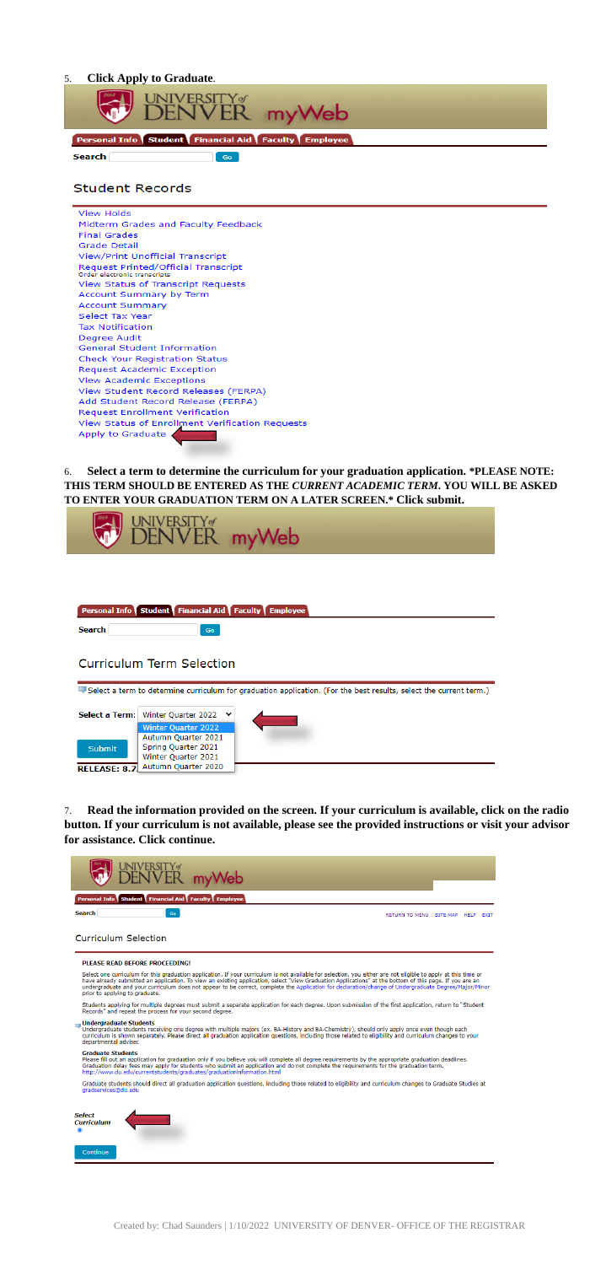#### **Click Apply to Graduate.** 5.



# **Student Records**



Select a term to determine the curriculum for your graduation application. \*PLEASE NOTE: 6. THIS TERM SHOULD BE ENTERED AS THE CURRENT ACADEMIC TERM. YOU WILL BE ASKED TO ENTER YOUR GRADUATION TERM ON A LATER SCREEN.\* Click submit.



Read the information provided on the screen. If your curriculum is available, click on the radio 7. button. If your curriculum is not available, please see the provided instructions or visit your advisor for assistance. Click continue.



| Personal Info Student Financial Aid Faculty Employee |  |
|------------------------------------------------------|--|
|                                                      |  |

**Search** 

## **Curriculum Selection**

#### PLEASE READ BEFORE PROCEEDING!

Select one curriculum for this graduation application. If your curriculum is not available for selection, you either are not eligible to apply at this time or<br>have already submitted an application. To view an existing appl prior to applying to graduate.

Students applying for multiple degrees must submit a separate application for each degree. Upon submission of the first application, return to "Student<br>Records" and repeat the process for your second degree.

## Undergraduate Students

undergraduate students receiving one degree with multiple majors (ex. BA-History and BA-Chemistry), should only apply once even though each<br>curriculum is shown separately. Please direct all graduation application questions departmental adviser.

### **Graduate Students**

Graciation and production for graduation only if you believe you will complete all degree requirements by the appropriate graduation deadlines.<br>Graduation delay fees may apply for students who submit an application and do

Graduate students should direct all graduation application questions, including those related to eligibility and curriculum changes to Graduate Studies at



Created by: Chad Saunders | 1/10/2022 UNIVERSITY OF DENVER- OFFICE OF THE REGISTRAR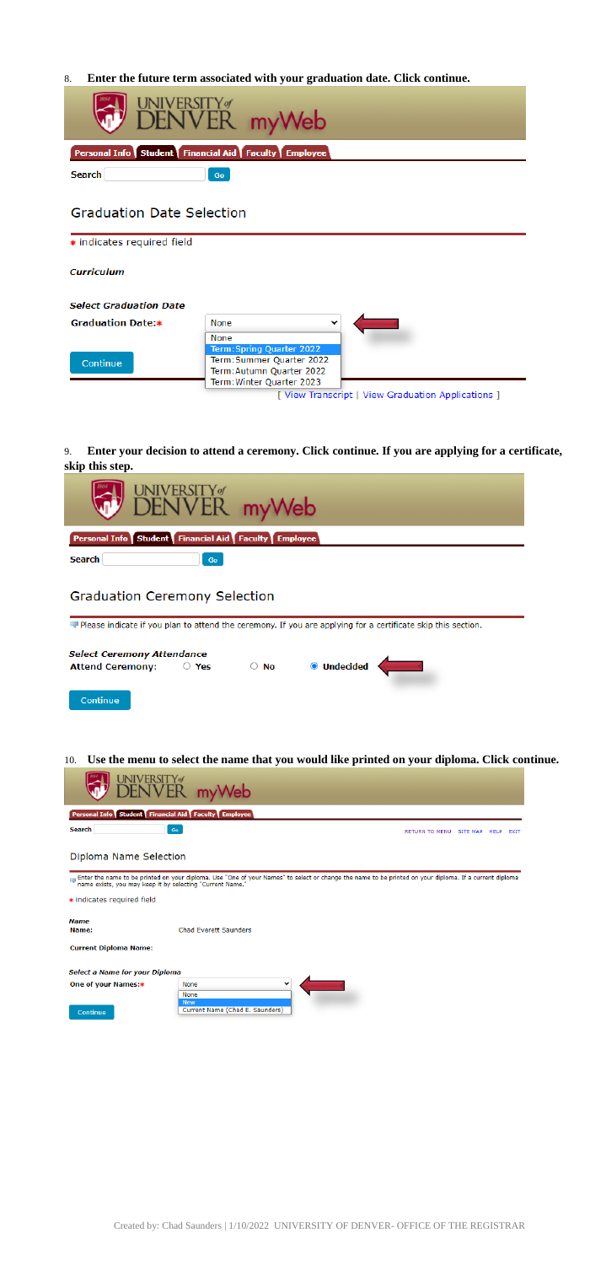Created by: Chad Saunders | 1/10/2022 UNIVERSITY OF DENVER- OFFICE OF THE REGISTRAR

8. **Enter the future term associated with your graduation date. Click continue.**

|                                                      | UNIVERSITY <sub>®</sub><br>DENVER myWeb                                                                                                                                        |  |  |  |  |
|------------------------------------------------------|--------------------------------------------------------------------------------------------------------------------------------------------------------------------------------|--|--|--|--|
| Personal Info Student Financial Aid Faculty Employee |                                                                                                                                                                                |  |  |  |  |
| <b>Search</b>                                        | Go                                                                                                                                                                             |  |  |  |  |
|                                                      | <b>Graduation Date Selection</b>                                                                                                                                               |  |  |  |  |
| * indicates required field                           |                                                                                                                                                                                |  |  |  |  |
| <b>Curriculum</b>                                    |                                                                                                                                                                                |  |  |  |  |
| <b>Select Graduation Date</b>                        |                                                                                                                                                                                |  |  |  |  |
| <b>Graduation Date:</b>                              | None                                                                                                                                                                           |  |  |  |  |
| Continue                                             | None<br>Term: Spring Quarter 2022<br>Term: Summer Quarter 2022<br>Term: Autumn Quarter 2022<br>Term: Winter Quarter 2023<br>[ View Transcript   View Graduation Applications ] |  |  |  |  |

9. **Enter your decision to attend a ceremony. Click continue. If you are applying for a certificate, skip this step.**

|                                                                                                                                                      | <b>DENVERSITY</b> my Web |                    |             |  |
|------------------------------------------------------------------------------------------------------------------------------------------------------|--------------------------|--------------------|-------------|--|
| Personal Info Student Financial Aid Faculty Employee                                                                                                 |                          |                    |             |  |
| Search                                                                                                                                               | Go                       |                    |             |  |
| <b>Graduation Ceremony Selection</b><br>Please indicate if you plan to attend the ceremony. If you are applying for a certificate skip this section. |                          |                    |             |  |
| <b>Select Ceremony Attendance</b>                                                                                                                    |                          |                    |             |  |
| <b>Attend Ceremony:</b>                                                                                                                              | $\circ$ Yes              | $\circ$ No $\circ$ | O Undecided |  |
| Continue                                                                                                                                             |                          |                    |             |  |

10. **Use the menu to select the name that you would like printed on your diploma. Click continue.**

| DENVER myWeb                                         |                                   |  |  |
|------------------------------------------------------|-----------------------------------|--|--|
| Personal Info Student Financial Aid Faculty Employee |                                   |  |  |
| Search<br>Go                                         | RETURN TO MENU SITE MAP HELP EXIT |  |  |

Diploma Name Selection

\* indicates required field

**Name** 

Name: Chad Everett Saunders

**Current Diploma Name:** 

Select a Name for your Diploma

One of your Names:\*

Continue



Enter the name to be printed on your diploma. Use "One of your Names" to select or change the name to be printed on your diploma. If a current diploma and was readed by selecting "Current Name."